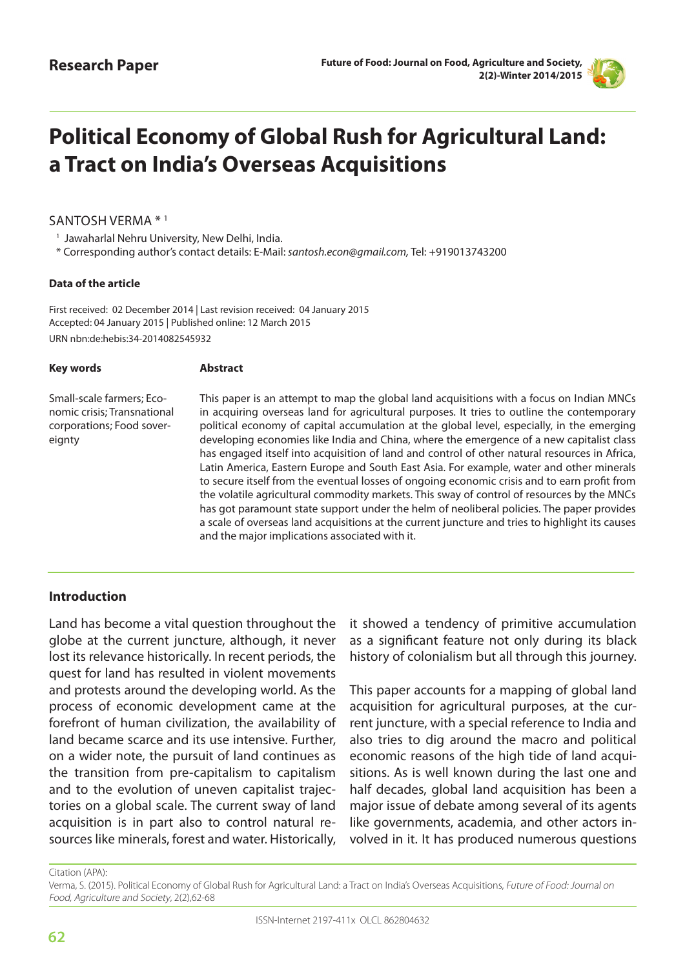

# **Political Economy of Global Rush for Agricultural Land: a Tract on India's Overseas Acquisitions**

#### SANTOSH VERMA \* 1

<sup>1</sup> Jawaharlal Nehru University, New Delhi, India.

\* Corresponding author's contact details: E-Mail: *santosh.econ@gmail.com,* Tel: *+*919013743200

#### **Data of the article**

**Key words**

eignty

First received: 02 December 2014 | Last revision received: 04 January 2015 Accepted: 04 January 2015 | Published online: 12 March 2015 URN nbn:de:hebis:34-2014082545932

**Abstract**

## Small-scale farmers; Economic crisis; Transnational corporations; Food sover-

This paper is an attempt to map the global land acquisitions with a focus on Indian MNCs in acquiring overseas land for agricultural purposes. It tries to outline the contemporary political economy of capital accumulation at the global level, especially, in the emerging developing economies like India and China, where the emergence of a new capitalist class has engaged itself into acquisition of land and control of other natural resources in Africa, Latin America, Eastern Europe and South East Asia. For example, water and other minerals to secure itself from the eventual losses of ongoing economic crisis and to earn profit from the volatile agricultural commodity markets. This sway of control of resources by the MNCs has got paramount state support under the helm of neoliberal policies. The paper provides a scale of overseas land acquisitions at the current juncture and tries to highlight its causes and the major implications associated with it.

#### **Introduction**

Land has become a vital question throughout the globe at the current juncture, although, it never lost its relevance historically. In recent periods, the quest for land has resulted in violent movements and protests around the developing world. As the process of economic development came at the forefront of human civilization, the availability of land became scarce and its use intensive. Further, on a wider note, the pursuit of land continues as the transition from pre-capitalism to capitalism and to the evolution of uneven capitalist trajectories on a global scale. The current sway of land acquisition is in part also to control natural resources like minerals, forest and water. Historically, it showed a tendency of primitive accumulation as a significant feature not only during its black history of colonialism but all through this journey.

This paper accounts for a mapping of global land acquisition for agricultural purposes, at the current juncture, with a special reference to India and also tries to dig around the macro and political economic reasons of the high tide of land acquisitions. As is well known during the last one and half decades, global land acquisition has been a major issue of debate among several of its agents like governments, academia, and other actors involved in it. It has produced numerous questions

Citation (APA):

Verma, S. (2015). Political Economy of Global Rush for Agricultural Land: a Tract on India's Overseas Acquisitions, Future of Food: Journal on Food, Agriculture and Society, 2(2),62-68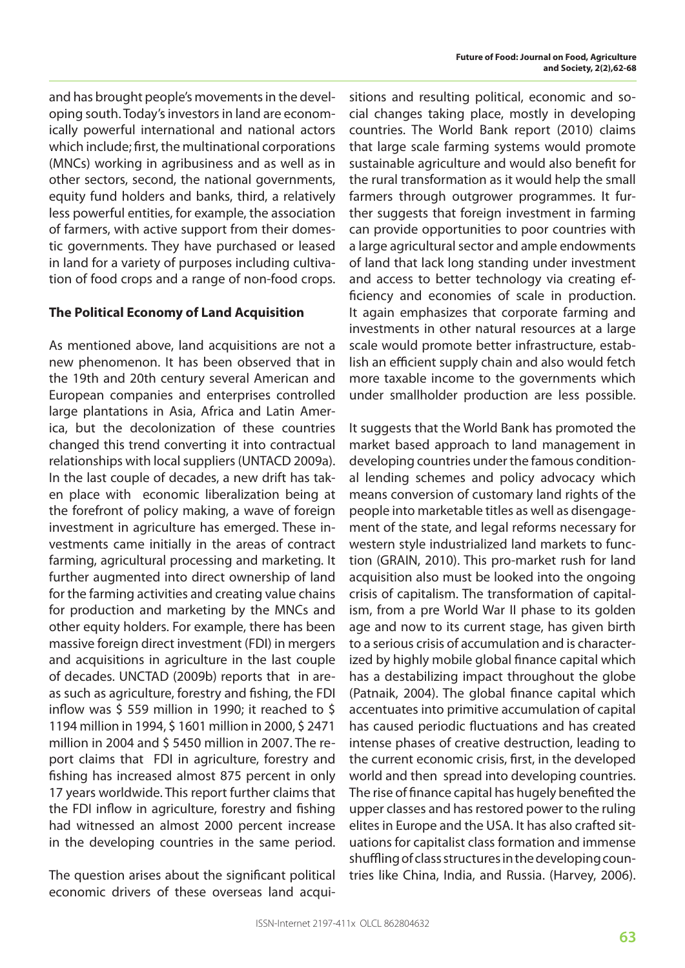and has brought people's movements in the developing south. Today's investors in land are economically powerful international and national actors which include; first, the multinational corporations (MNCs) working in agribusiness and as well as in other sectors, second, the national governments, equity fund holders and banks, third, a relatively less powerful entities, for example, the association of farmers, with active support from their domestic governments. They have purchased or leased in land for a variety of purposes including cultivation of food crops and a range of non-food crops.

#### **The Political Economy of Land Acquisition**

As mentioned above, land acquisitions are not a new phenomenon. It has been observed that in the 19th and 20th century several American and European companies and enterprises controlled large plantations in Asia, Africa and Latin America, but the decolonization of these countries changed this trend converting it into contractual relationships with local suppliers (UNTACD 2009a). In the last couple of decades, a new drift has taken place with economic liberalization being at the forefront of policy making, a wave of foreign investment in agriculture has emerged. These investments came initially in the areas of contract farming, agricultural processing and marketing. It further augmented into direct ownership of land for the farming activities and creating value chains for production and marketing by the MNCs and other equity holders. For example, there has been massive foreign direct investment (FDI) in mergers and acquisitions in agriculture in the last couple of decades. UNCTAD (2009b) reports that in areas such as agriculture, forestry and fishing, the FDI inflow was \$ 559 million in 1990; it reached to \$ 1194 million in 1994, \$ 1601 million in 2000, \$ 2471 million in 2004 and \$ 5450 million in 2007. The report claims that FDI in agriculture, forestry and fishing has increased almost 875 percent in only 17 years worldwide. This report further claims that the FDI inflow in agriculture, forestry and fishing had witnessed an almost 2000 percent increase in the developing countries in the same period.

The question arises about the significant political economic drivers of these overseas land acquisitions and resulting political, economic and social changes taking place, mostly in developing countries. The World Bank report (2010) claims that large scale farming systems would promote sustainable agriculture and would also benefit for the rural transformation as it would help the small farmers through outgrower programmes. It further suggests that foreign investment in farming can provide opportunities to poor countries with a large agricultural sector and ample endowments of land that lack long standing under investment and access to better technology via creating efficiency and economies of scale in production. It again emphasizes that corporate farming and investments in other natural resources at a large scale would promote better infrastructure, establish an efficient supply chain and also would fetch more taxable income to the governments which under smallholder production are less possible.

It suggests that the World Bank has promoted the market based approach to land management in developing countries under the famous conditional lending schemes and policy advocacy which means conversion of customary land rights of the people into marketable titles as well as disengagement of the state, and legal reforms necessary for western style industrialized land markets to function (GRAIN, 2010). This pro-market rush for land acquisition also must be looked into the ongoing crisis of capitalism. The transformation of capitalism, from a pre World War II phase to its golden age and now to its current stage, has given birth to a serious crisis of accumulation and is characterized by highly mobile global finance capital which has a destabilizing impact throughout the globe (Patnaik, 2004). The global finance capital which accentuates into primitive accumulation of capital has caused periodic fluctuations and has created intense phases of creative destruction, leading to the current economic crisis, first, in the developed world and then spread into developing countries. The rise of finance capital has hugely benefited the upper classes and has restored power to the ruling elites in Europe and the USA. It has also crafted situations for capitalist class formation and immense shuffling of class structures in the developing countries like China, India, and Russia. (Harvey, 2006).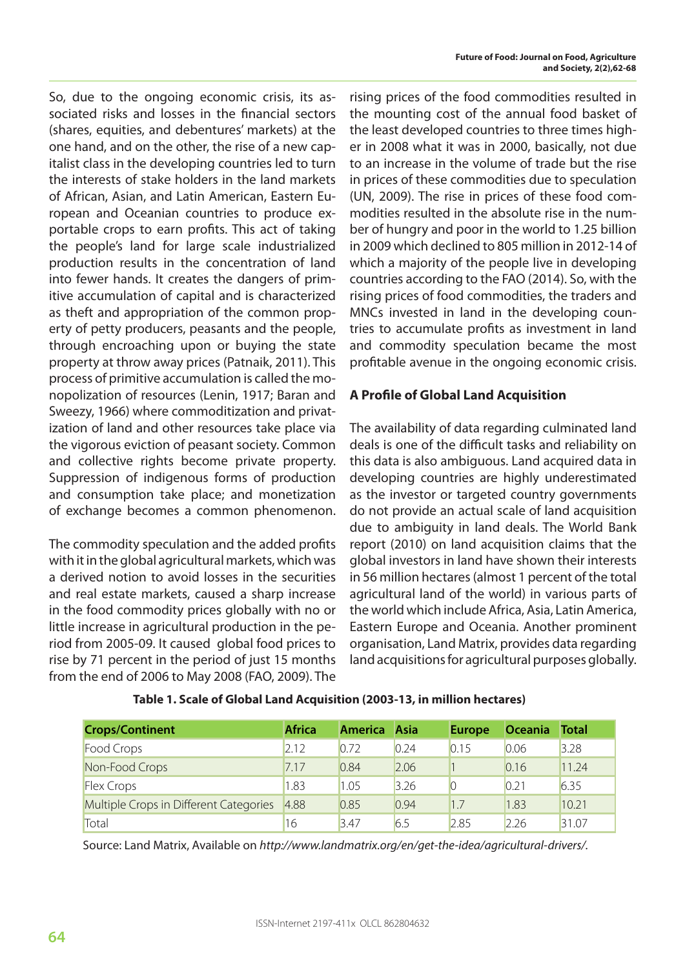So, due to the ongoing economic crisis, its associated risks and losses in the financial sectors (shares, equities, and debentures' markets) at the one hand, and on the other, the rise of a new capitalist class in the developing countries led to turn the interests of stake holders in the land markets of African, Asian, and Latin American, Eastern European and Oceanian countries to produce exportable crops to earn profits. This act of taking the people's land for large scale industrialized production results in the concentration of land into fewer hands. It creates the dangers of primitive accumulation of capital and is characterized as theft and appropriation of the common property of petty producers, peasants and the people, through encroaching upon or buying the state property at throw away prices (Patnaik, 2011). This process of primitive accumulation is called the monopolization of resources (Lenin, 1917; Baran and Sweezy, 1966) where commoditization and privatization of land and other resources take place via the vigorous eviction of peasant society. Common and collective rights become private property. Suppression of indigenous forms of production and consumption take place; and monetization of exchange becomes a common phenomenon.

The commodity speculation and the added profits with it in the global agricultural markets, which was a derived notion to avoid losses in the securities and real estate markets, caused a sharp increase in the food commodity prices globally with no or little increase in agricultural production in the period from 2005-09. It caused global food prices to rise by 71 percent in the period of just 15 months from the end of 2006 to May 2008 (FAO, 2009). The

rising prices of the food commodities resulted in the mounting cost of the annual food basket of the least developed countries to three times higher in 2008 what it was in 2000, basically, not due to an increase in the volume of trade but the rise in prices of these commodities due to speculation (UN, 2009). The rise in prices of these food commodities resulted in the absolute rise in the number of hungry and poor in the world to 1.25 billion in 2009 which declined to 805 million in 2012-14 of which a majority of the people live in developing countries according to the FAO (2014). So, with the rising prices of food commodities, the traders and MNCs invested in land in the developing countries to accumulate profits as investment in land and commodity speculation became the most profitable avenue in the ongoing economic crisis.

#### **A Profile of Global Land Acquisition**

The availability of data regarding culminated land deals is one of the difficult tasks and reliability on this data is also ambiguous. Land acquired data in developing countries are highly underestimated as the investor or targeted country governments do not provide an actual scale of land acquisition due to ambiguity in land deals. The World Bank report (2010) on land acquisition claims that the global investors in land have shown their interests in 56 million hectares (almost 1 percent of the total agricultural land of the world) in various parts of the world which include Africa, Asia, Latin America, Eastern Europe and Oceania. Another prominent organisation, Land Matrix, provides data regarding land acquisitions for agricultural purposes globally.

| <b>Crops/Continent</b>                 | <b>Africa</b> | America Asia |      | <b>Europe</b> | <b>Oceania</b> | <b>Total</b> |
|----------------------------------------|---------------|--------------|------|---------------|----------------|--------------|
| Food Crops                             | 2.12          | 0.72         | 0.24 | 0.15          | 0.06           | 3.28         |
| Non-Food Crops                         | 7.17          | 0.84         | 2.06 |               | 0.16           | 11.24        |
| <b>Flex Crops</b>                      | 1.83          | 1.05         | 3.26 | $\Omega$      | 0.21           | 6.35         |
| Multiple Crops in Different Categories | 4.88          | 0.85         | 0.94 | 1.7           | 1.83           | 10.21        |
| Total                                  | 16            | 3.47         | 6.5  | 2.85          | 2.26           | 31.07        |

#### **Table 1. Scale of Global Land Acquisition (2003-13, in million hectares)**

Source: Land Matrix, Available on *http://www.landmatrix.org/en/get-the-idea/agricultural-drivers/.*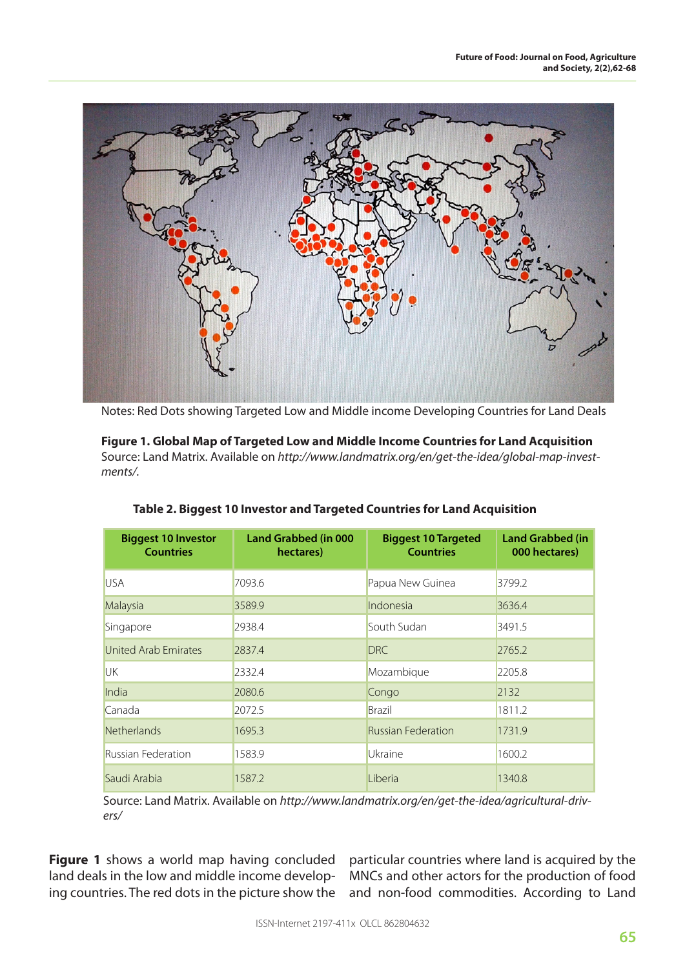

Notes: Red Dots showing Targeted Low and Middle income Developing Countries for Land Deals

**Figure 1. Global Map of Targeted Low and Middle Income Countries for Land Acquisition** Source: Land Matrix. Available on *http://www.landmatrix.org/en/get-the-idea/global-map-investments/.*

| <b>Biggest 10 Investor</b><br><b>Countries</b> | <b>Land Grabbed (in 000</b><br>hectares) | <b>Biggest 10 Targeted</b><br><b>Countries</b> | <b>Land Grabbed (in</b><br>000 hectares) |
|------------------------------------------------|------------------------------------------|------------------------------------------------|------------------------------------------|
| <b>USA</b>                                     | 7093.6                                   | Papua New Guinea                               | 3799.2                                   |
| Malaysia                                       | 3589.9                                   | Indonesia                                      | 3636.4                                   |
| Singapore                                      | 2938.4                                   | South Sudan                                    | 3491.5                                   |
| United Arab Emirates                           | 2837.4                                   | <b>DRC</b>                                     | 2765.2                                   |
| <b>UK</b>                                      | 2332.4                                   | Mozambique                                     | 2205.8                                   |
| India                                          | 2080.6                                   | Congo                                          | 2132                                     |
| Canada                                         | 2072.5                                   | <b>Brazil</b>                                  | 1811.2                                   |
| <b>Netherlands</b>                             | 1695.3                                   | <b>Russian Federation</b>                      | 1731.9                                   |
| <b>Russian Federation</b>                      | 1583.9                                   | Ukraine                                        | 1600.2                                   |
| Saudi Arabia                                   | 1587.2                                   | Liberia                                        | 1340.8                                   |

**Table 2. Biggest 10 Investor and Targeted Countries for Land Acquisition**

Source: Land Matrix. Available on *http://www.landmatrix.org/en/get-the-idea/agricultural-drivers/*

**Figure 1** shows a world map having concluded

land deals in the low and middle income develop-MNCs and other actors for the production of food ing countries. The red dots in the picture show the and non-food commodities. According to Land particular countries where land is acquired by the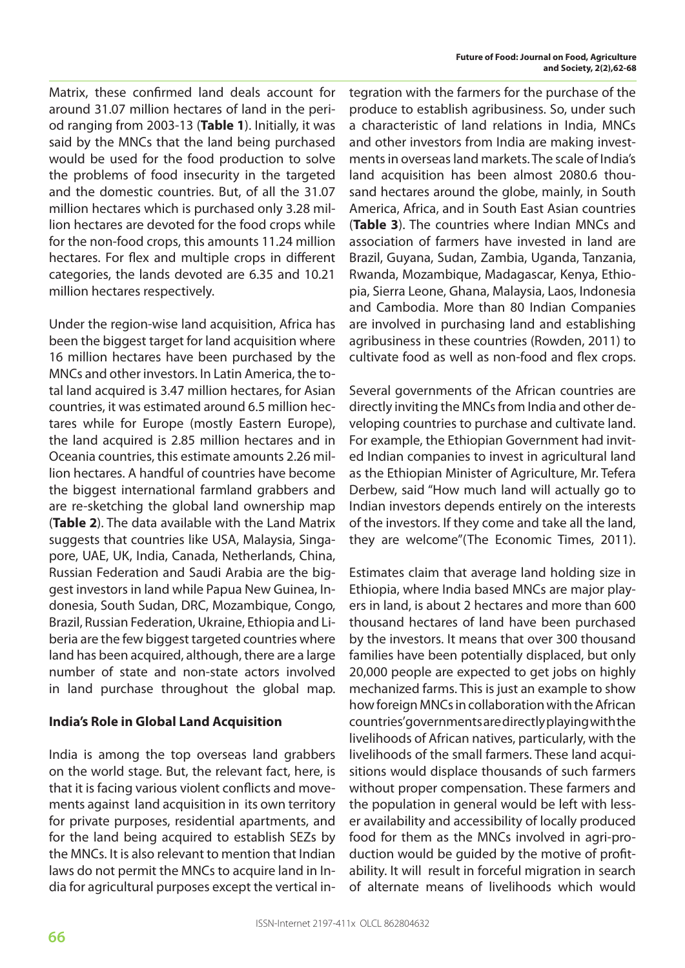Matrix, these confirmed land deals account for around 31.07 million hectares of land in the period ranging from 2003-13 (**Table 1**). Initially, it was said by the MNCs that the land being purchased would be used for the food production to solve the problems of food insecurity in the targeted and the domestic countries. But, of all the 31.07 million hectares which is purchased only 3.28 million hectares are devoted for the food crops while for the non-food crops, this amounts 11.24 million hectares. For flex and multiple crops in different categories, the lands devoted are 6.35 and 10.21 million hectares respectively.

Under the region-wise land acquisition, Africa has been the biggest target for land acquisition where 16 million hectares have been purchased by the MNCs and other investors. In Latin America, the total land acquired is 3.47 million hectares, for Asian countries, it was estimated around 6.5 million hectares while for Europe (mostly Eastern Europe), the land acquired is 2.85 million hectares and in Oceania countries, this estimate amounts 2.26 million hectares. A handful of countries have become the biggest international farmland grabbers and are re-sketching the global land ownership map (**Table 2**). The data available with the Land Matrix suggests that countries like USA, Malaysia, Singapore, UAE, UK, India, Canada, Netherlands, China, Russian Federation and Saudi Arabia are the biggest investors in land while Papua New Guinea, Indonesia, South Sudan, DRC, Mozambique, Congo, Brazil, Russian Federation, Ukraine, Ethiopia and Liberia are the few biggest targeted countries where land has been acquired, although, there are a large number of state and non-state actors involved in land purchase throughout the global map.

#### **India's Role in Global Land Acquisition**

India is among the top overseas land grabbers on the world stage. But, the relevant fact, here, is that it is facing various violent conflicts and movements against land acquisition in its own territory for private purposes, residential apartments, and for the land being acquired to establish SEZs by the MNCs. It is also relevant to mention that Indian laws do not permit the MNCs to acquire land in India for agricultural purposes except the vertical integration with the farmers for the purchase of the produce to establish agribusiness. So, under such a characteristic of land relations in India, MNCs and other investors from India are making investments in overseas land markets. The scale of India's land acquisition has been almost 2080.6 thousand hectares around the globe, mainly, in South America, Africa, and in South East Asian countries (**Table 3**). The countries where Indian MNCs and association of farmers have invested in land are Brazil, Guyana, Sudan, Zambia, Uganda, Tanzania, Rwanda, Mozambique, Madagascar, Kenya, Ethiopia, Sierra Leone, Ghana, Malaysia, Laos, Indonesia and Cambodia. More than 80 Indian Companies are involved in purchasing land and establishing agribusiness in these countries (Rowden, 2011) to cultivate food as well as non-food and flex crops.

Several governments of the African countries are directly inviting the MNCs from India and other developing countries to purchase and cultivate land. For example, the Ethiopian Government had invited Indian companies to invest in agricultural land as the Ethiopian Minister of Agriculture, Mr. Tefera Derbew, said "How much land will actually go to Indian investors depends entirely on the interests of the investors. If they come and take all the land, they are welcome"(The Economic Times, 2011).

Estimates claim that average land holding size in Ethiopia, where India based MNCs are major players in land, is about 2 hectares and more than 600 thousand hectares of land have been purchased by the investors. It means that over 300 thousand families have been potentially displaced, but only 20,000 people are expected to get jobs on highly mechanized farms. This is just an example to show how foreign MNCs in collaboration with the African countries' governments are directly playing with the livelihoods of African natives, particularly, with the livelihoods of the small farmers. These land acquisitions would displace thousands of such farmers without proper compensation. These farmers and the population in general would be left with lesser availability and accessibility of locally produced food for them as the MNCs involved in agri-production would be guided by the motive of profitability. It will result in forceful migration in search of alternate means of livelihoods which would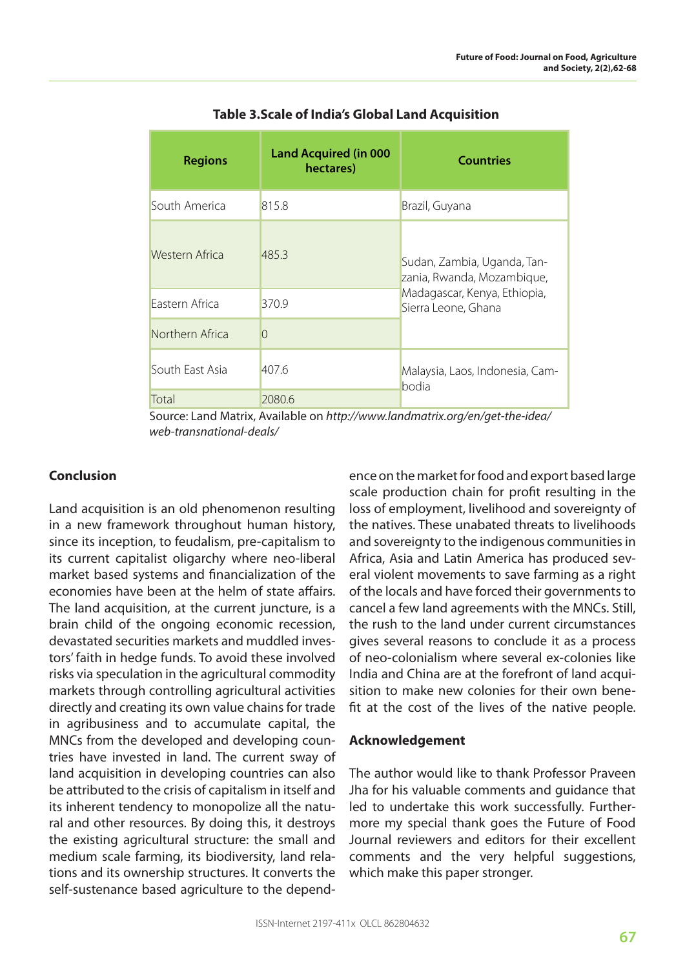| <b>Regions</b>  | <b>Land Acquired (in 000</b><br>hectares) | <b>Countries</b>                                                                                                 |  |  |
|-----------------|-------------------------------------------|------------------------------------------------------------------------------------------------------------------|--|--|
| South America   | 815.8                                     | Brazil, Guyana                                                                                                   |  |  |
| Western Africa  | 485.3                                     | Sudan, Zambia, Uganda, Tan-<br>zania, Rwanda, Mozambique,<br>Madagascar, Kenya, Ethiopia,<br>Sierra Leone, Ghana |  |  |
| Eastern Africa  | 370.9                                     |                                                                                                                  |  |  |
| Northern Africa | $\bigcap$                                 |                                                                                                                  |  |  |
| South East Asia | 4076                                      | Malaysia, Laos, Indonesia, Cam-<br>bodia                                                                         |  |  |
| Total           | 2080.6                                    |                                                                                                                  |  |  |

**Table 3.Scale of India's Global Land Acquisition**

Source: Land Matrix, Available on *http://www.landmatrix.org/en/get-the-idea/ web-transnational-deals/*

#### **Conclusion**

Land acquisition is an old phenomenon resulting in a new framework throughout human history, since its inception, to feudalism, pre-capitalism to its current capitalist oligarchy where neo-liberal market based systems and financialization of the economies have been at the helm of state affairs. The land acquisition, at the current juncture, is a brain child of the ongoing economic recession, devastated securities markets and muddled investors' faith in hedge funds. To avoid these involved risks via speculation in the agricultural commodity markets through controlling agricultural activities directly and creating its own value chains for trade in agribusiness and to accumulate capital, the MNCs from the developed and developing countries have invested in land. The current sway of land acquisition in developing countries can also be attributed to the crisis of capitalism in itself and its inherent tendency to monopolize all the natural and other resources. By doing this, it destroys the existing agricultural structure: the small and medium scale farming, its biodiversity, land relations and its ownership structures. It converts the self-sustenance based agriculture to the dependence on the market for food and export based large scale production chain for profit resulting in the loss of employment, livelihood and sovereignty of the natives. These unabated threats to livelihoods and sovereignty to the indigenous communities in Africa, Asia and Latin America has produced several violent movements to save farming as a right of the locals and have forced their governments to cancel a few land agreements with the MNCs. Still, the rush to the land under current circumstances gives several reasons to conclude it as a process of neo-colonialism where several ex-colonies like India and China are at the forefront of land acquisition to make new colonies for their own benefit at the cost of the lives of the native people.

#### **Acknowledgement**

The author would like to thank Professor Praveen Jha for his valuable comments and guidance that led to undertake this work successfully. Furthermore my special thank goes the Future of Food Journal reviewers and editors for their excellent comments and the very helpful suggestions, which make this paper stronger.